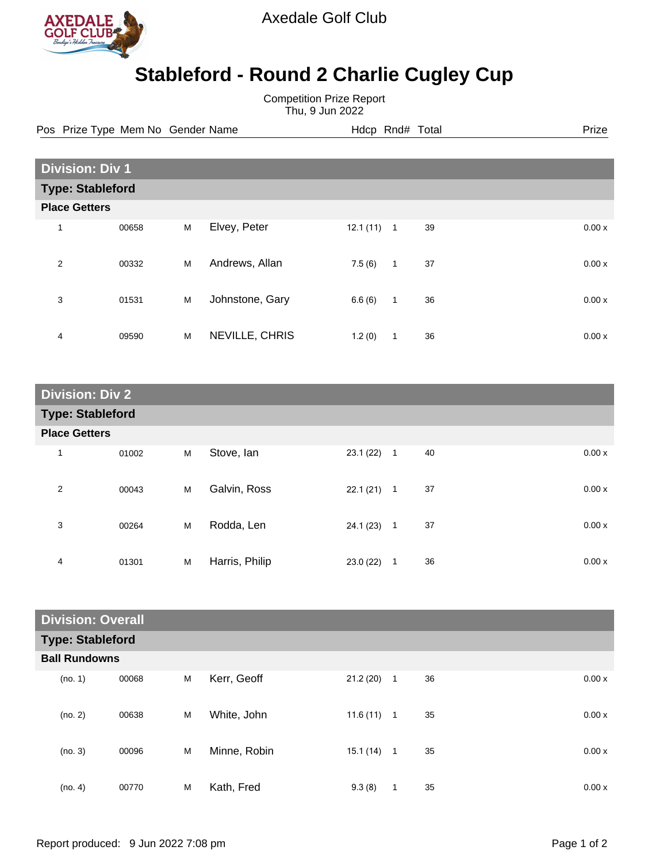

Axedale Golf Club

## **Stableford - Round 2 Charlie Cugley Cup**

Competition Prize Report Thu, 9 Jun 2022

Pos Prize Type Mem No Gender Name **Heath Hotel Hotel Rnd# Total** Prize

| <b>Division: Div 1</b> |                         |   |                 |          |                |    |  |       |
|------------------------|-------------------------|---|-----------------|----------|----------------|----|--|-------|
|                        | <b>Type: Stableford</b> |   |                 |          |                |    |  |       |
|                        | <b>Place Getters</b>    |   |                 |          |                |    |  |       |
| 1                      | 00658                   | M | Elvey, Peter    | 12.1(11) | $\overline{1}$ | 39 |  | 0.00x |
| $\overline{2}$         | 00332                   | M | Andrews, Allan  | 7.5(6)   | $\mathbf{1}$   | 37 |  | 0.00x |
| 3                      | 01531                   | M | Johnstone, Gary | 6.6(6)   | $\overline{1}$ | 36 |  | 0.00x |
| 4                      | 09590                   | M | NEVILLE, CHRIS  | 1.2(0)   | 1              | 36 |  | 0.00x |

| <b>Division: Div 2</b>  |                      |   |                |           |                |    |       |  |  |
|-------------------------|----------------------|---|----------------|-----------|----------------|----|-------|--|--|
| <b>Type: Stableford</b> |                      |   |                |           |                |    |       |  |  |
|                         | <b>Place Getters</b> |   |                |           |                |    |       |  |  |
| $\mathbf 1$             | 01002                | M | Stove, Ian     | 23.1(22)  | $\overline{1}$ | 40 | 0.00x |  |  |
| $\overline{2}$          | 00043                | M | Galvin, Ross   | 22.1(21)  | $\mathbf{1}$   | 37 | 0.00x |  |  |
| 3                       | 00264                | M | Rodda, Len     | 24.1 (23) | $\mathbf{1}$   | 37 | 0.00x |  |  |
| 4                       | 01301                | M | Harris, Philip | 23.0(22)  | 1              | 36 | 0.00x |  |  |

| <b>Division: Overall</b> |       |   |              |              |                |    |  |       |
|--------------------------|-------|---|--------------|--------------|----------------|----|--|-------|
| <b>Type: Stableford</b>  |       |   |              |              |                |    |  |       |
| <b>Ball Rundowns</b>     |       |   |              |              |                |    |  |       |
| (no. 1)                  | 00068 | M | Kerr, Geoff  | 21.2(20)     | $\mathbf{1}$   | 36 |  | 0.00x |
| (no. 2)                  | 00638 | M | White, John  | 11.6 (11)    | $\overline{1}$ | 35 |  | 0.00x |
| (no. 3)                  | 00096 | M | Minne, Robin | $15.1(14)$ 1 |                | 35 |  | 0.00x |
| (no. 4)                  | 00770 | M | Kath, Fred   | 9.3(8)       | $\mathbf{1}$   | 35 |  | 0.00x |